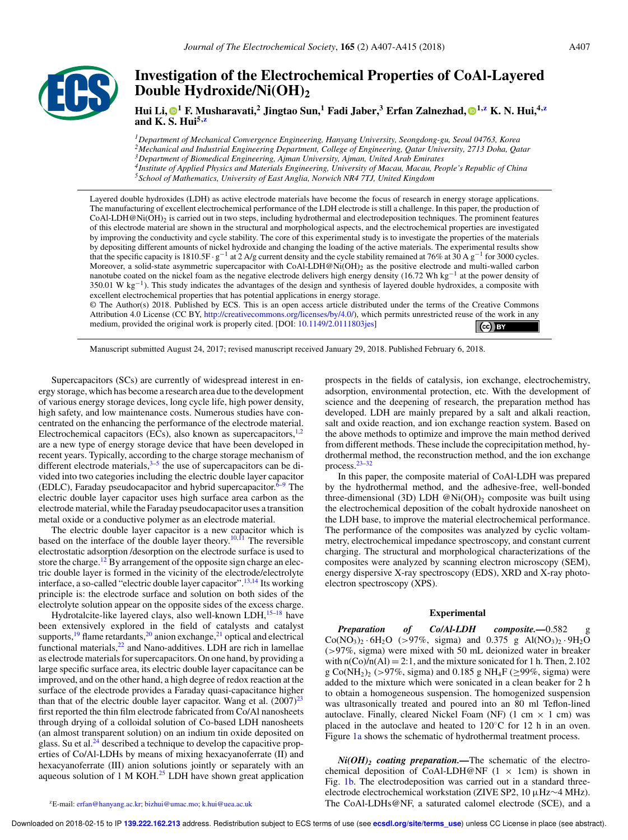

# **Investigation of the Electrochemical Properties of CoAl-Layered Double Hydroxide/Ni(OH)<sup>2</sup>**

**Hui Li, <sup>1</sup> F. Musharavati,<sup>2</sup> Jingtao Sun,<sup>1</sup> Fadi Jaber,<sup>3</sup> Erfan Zalnezhad, 1,z K. N. Hui,4,z and K. S. Hui5,z**

*Department of Mechanical Convergence Engineering, Hanyang University, Seongdong-gu, Seoul 04763, Korea Mechanical and Industrial Engineering Department, College of Engineering, Qatar University, 2713 Doha, Qatar Department of Biomedical Engineering, Ajman University, Ajman, United Arab Emirates Institute of Applied Physics and Materials Engineering, University of Macau, Macau, People's Republic of China School of Mathematics, University of East Anglia, Norwich NR4 7TJ, United Kingdom*

Layered double hydroxides (LDH) as active electrode materials have become the focus of research in energy storage applications. The manufacturing of excellent electrochemical performance of the LDH electrode is still a challenge. In this paper, the production of  $CoAl-LDH@Ni(OH)_2$  is carried out in two steps, including hydrothermal and electrodeposition techniques. The prominent features of this electrode material are shown in the structural and morphological aspects, and the electrochemical properties are investigated by improving the conductivity and cycle stability. The core of this experimental study is to investigate the properties of the materials by depositing different amounts of nickel hydroxide and changing the loading of the active materials. The experimental results show that the specific capacity is 1810.5F ·  $g^{-1}$  at 2 A/g current density and the cycle stability remained at 76% at 30 A  $g^{-1}$  for 3000 cycles. Moreover, a solid-state asymmetric supercapacitor with CoAl-LDH@Ni(OH)<sub>2</sub> as the positive electrode and multi-walled carbon nanotube coated on the nickel foam as the negative electrode delivers high energy density (16.72 Wh kg<sup>-1</sup> at the power density of 350.01 W kg<sup>-1</sup>). This study indicates the advantages of the design and synthesis of layered double hydroxides, a composite with excellent electrochemical properties that has potential applications in energy storage.

© The Author(s) 2018. Published by ECS. This is an open access article distributed under the terms of the Creative Commons Attribution 4.0 License (CC BY, http://creativecommons.org/licenses/by/4.0/), which permits unrestricted reuse of the work in any medium, provided the original work is properly cited. [DOI: 10.1149/2.0111803jes]  $\left(\text{c}\right)$  BY

Manuscript submitted August 24, 2017; revised manuscript received January 29, 2018. Published February 6, 2018.

Supercapacitors (SCs) are currently of widespread interest in energy storage, which has become a research area due to the development of various energy storage devices, long cycle life, high power density, high safety, and low maintenance costs. Numerous studies have concentrated on the enhancing the performance of the electrode material. Electrochemical capacitors (ECs), also known as supercapacitors, $\frac{1}{2}$ are a new type of energy storage device that have been developed in recent years. Typically, according to the charge storage mechanism of different electrode materials, $3-5$  the use of supercapacitors can be divided into two categories including the electric double layer capacitor (EDLC), Faraday pseudocapacitor and hybrid supercapacitor.<sup>6–9</sup> The electric double layer capacitor uses high surface area carbon as the electrode material, while the Faraday pseudocapacitor uses a transition metal oxide or a conductive polymer as an electrode material.

The electric double layer capacitor is a new capacitor which is based on the interface of the double layer theory.<sup>10, $\hat{I}$ 1</sup> The reversible electrostatic adsorption /desorption on the electrode surface is used to store the charge.<sup>12</sup> By arrangement of the opposite sign charge an electric double layer is formed in the vicinity of the electrode/electrolyte interface, a so-called "electric double layer capacitor".13,14 Its working principle is: the electrode surface and solution on both sides of the electrolyte solution appear on the opposite sides of the excess charge.

Hydrotalcite-like layered clays, also well-known LDH, $^{15-18}$  have been extensively explored in the field of catalysts and catalyst supports, $19$  flame retardants, $20$  anion exchange, $21$  optical and electrical functional materials,<sup>22</sup> and Nano-additives. LDH are rich in lamellae as electrode materials for supercapacitors. On one hand, by providing a large specific surface area, its electric double layer capacitance can be improved, and on the other hand, a high degree of redox reaction at the surface of the electrode provides a Faraday quasi-capacitance higher than that of the electric double layer capacitor. Wang et al.  $(2007)^{23}$ first reported the thin film electrode fabricated from Co/Al nanosheets through drying of a colloidal solution of Co-based LDH nanosheets (an almost transparent solution) on an indium tin oxide deposited on glass. Su et al. $<sup>24</sup>$  described a technique to develop the capacitive prop-</sup> erties of Co/Al-LDHs by means of mixing hexacyanoferrate (II) and hexacyanoferrate (III) anion solutions jointly or separately with an aqueous solution of 1 M KOH.<sup>25</sup> LDH have shown great application prospects in the fields of catalysis, ion exchange, electrochemistry, adsorption, environmental protection, etc. With the development of science and the deepening of research, the preparation method has developed. LDH are mainly prepared by a salt and alkali reaction, salt and oxide reaction, and ion exchange reaction system. Based on the above methods to optimize and improve the main method derived from different methods. These include the coprecipitation method, hydrothermal method, the reconstruction method, and the ion exchange process.23–32

In this paper, the composite material of CoAl-LDH was prepared by the hydrothermal method, and the adhesive-free, well-bonded three-dimensional (3D) LDH  $@Ni(OH)_2$  composite was built using the electrochemical deposition of the cobalt hydroxide nanosheet on the LDH base, to improve the material electrochemical performance. The performance of the composites was analyzed by cyclic voltammetry, electrochemical impedance spectroscopy, and constant current charging. The structural and morphological characterizations of the composites were analyzed by scanning electron microscopy (SEM), energy dispersive X-ray spectroscopy (EDS), XRD and X-ray photoelectron spectroscopy (XPS).

## **Experimental**

Preparation of Co/Al-LDH composite.-0.582  $Co(NO<sub>3</sub>)<sub>2</sub> · 6H<sub>2</sub>O$  (>97%, sigma) and 0.375 g Al(NO<sub>3</sub>)<sub>2</sub> · 9H<sub>2</sub>O (>97%, sigma) were mixed with 50 mL deionized water in breaker with  $n(Co)/n(A) = 2:1$ , and the mixture sonicated for 1 h. Then, 2.102 g Co(NH<sub>2</sub>)<sub>2</sub> (>97%, sigma) and 0.185 g NH<sub>4</sub>F ( $\geq$ 99%, sigma) were added to the mixture which were sonicated in a clean beaker for 2 h to obtain a homogeneous suspension. The homogenized suspension was ultrasonically treated and poured into an 80 ml Teflon-lined autoclave. Finally, cleared Nickel Foam (NF) (1 cm  $\times$  1 cm) was placed in the autoclave and heated to 120◦C for 12 h in an oven. Figure 1a shows the schematic of hydrothermal treatment process.

*Ni(OH)<sup>2</sup> coating preparation.—*The schematic of the electrochemical deposition of CoAl-LDH@NF  $(1 \times 1$ cm) is shown in Fig. 1b. The electrodeposition was carried out in a standard threeelectrode electrochemical workstation (ZIVE SP2, 10 µHz∼4 MHz). The CoAl-LDHs@NF, a saturated calomel electrode (SCE), and a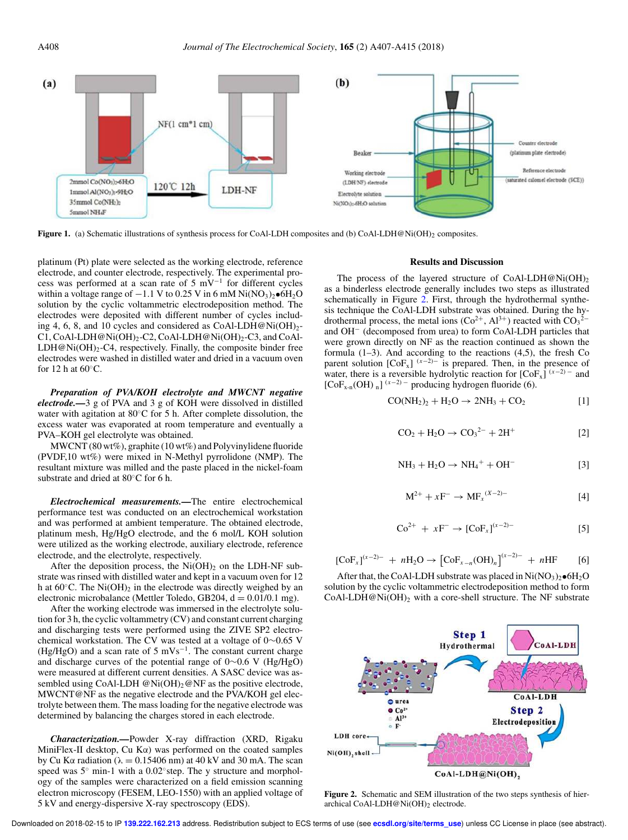

**Figure 1.** (a) Schematic illustrations of synthesis process for CoAl-LDH composites and (b) CoAl-LDH@Ni(OH)<sub>2</sub> composites.

platinum (Pt) plate were selected as the working electrode, reference electrode, and counter electrode, respectively. The experimental process was performed at a scan rate of 5 mV<sup>−</sup><sup>1</sup> for different cycles within a voltage range of  $-1.1$  V to 0.25 V in 6 mM Ni(NO<sub>3</sub>)<sub>2</sub>•6H<sub>2</sub>O solution by the cyclic voltammetric electrodeposition method. The electrodes were deposited with different number of cycles including 4, 6, 8, and 10 cycles and considered as  $CoAl-LDH@Ni(OH)<sub>2</sub>$ -C1, CoAl-LDH@Ni(OH)<sub>2</sub>-C2, CoAl-LDH@Ni(OH)<sub>2</sub>-C3, and CoAl- $LDH@Ni(OH)<sub>2</sub>-C4$ , respectively. Finally, the composite binder free electrodes were washed in distilled water and dried in a vacuum oven for 12 h at  $60^{\circ}$ C.

*Preparation of PVA/KOH electrolyte and MWCNT negative electrode.—*3 g of PVA and 3 g of KOH were dissolved in distilled water with agitation at 80℃ for 5 h. After complete dissolution, the excess water was evaporated at room temperature and eventually a PVA–KOH gel electrolyte was obtained.

MWCNT (80 wt%), graphite (10 wt%) and Polyvinylidene fluoride (PVDF,10 wt%) were mixed in N-Methyl pyrrolidone (NMP). The resultant mixture was milled and the paste placed in the nickel-foam substrate and dried at 80◦C for 6 h.

*Electrochemical measurements.—*The entire electrochemical performance test was conducted on an electrochemical workstation and was performed at ambient temperature. The obtained electrode, platinum mesh, Hg/HgO electrode, and the 6 mol/L KOH solution were utilized as the working electrode, auxiliary electrode, reference electrode, and the electrolyte, respectively.

After the deposition process, the  $Ni(OH)_2$  on the LDH-NF substrate was rinsed with distilled water and kept in a vacuum oven for 12 h at  $60^{\circ}$ C. The Ni $(OH)_2$  in the electrode was directly weighed by an electronic microbalance (Mettler Toledo, GB204,  $d = 0.01/0.1$  mg).

After the working electrode was immersed in the electrolyte solution for 3 h, the cyclic voltammetry (CV) and constant current charging and discharging tests were performed using the ZIVE SP2 electrochemical workstation. The CV was tested at a voltage of 0∼0.65 V (Hg/HgO) and a scan rate of 5 mVs<sup>-1</sup>. The constant current charge and discharge curves of the potential range of 0∼0.6 V (Hg/HgO) were measured at different current densities. A SASC device was assembled using CoAl-LDH  $@Ni(OH)_2@NF$  as the positive electrode, MWCNT@NF as the negative electrode and the PVA/KOH gel electrolyte between them. The mass loading for the negative electrode was determined by balancing the charges stored in each electrode.

*Characterization.—*Powder X-ray diffraction (XRD, Rigaku MiniFlex-II desktop, Cu Kα) was performed on the coated samples by Cu K $\alpha$  radiation ( $\lambda = 0.15406$  nm) at 40 kV and 30 mA. The scan speed was 5° min-1 with a 0.02° step. The y structure and morphology of the samples were characterized on a field emission scanning electron microscopy (FESEM, LEO-1550) with an applied voltage of 5 kV and energy-dispersive X-ray spectroscopy (EDS).

### **Results and Discussion**

The process of the layered structure of CoAl-LDH@Ni(OH)<sub>2</sub> as a binderless electrode generally includes two steps as illustrated schematically in Figure 2. First, through the hydrothermal synthesis technique the CoAl-LDH substrate was obtained. During the hydrothermal process, the metal ions  $(Co^{2+}, Al^{3+})$  reacted with  $CO<sub>3</sub><sup>2</sup>$ and OH<sup>−</sup> (decomposed from urea) to form CoAl-LDH particles that were grown directly on NF as the reaction continued as shown the formula  $(1-3)$ . And according to the reactions  $(4,5)$ , the fresh Co parent solution  $[CoF<sub>x</sub>]$ <sup>(x-2)–</sup> is prepared. Then, in the presence of water, there is a reversible hydrolytic reaction for  $[CoF_x]^{(x-2)-}$  and [CoF<sub>x-n</sub>(OH) <sub>n</sub>]<sup>( $x-2$ ) –</sup> producing hydrogen fluoride (6).

$$
CO(NH2)2 + H2O \rightarrow 2NH3 + CO2
$$
 [1]

$$
CO_2 + H_2O \rightarrow CO_3^{2-} + 2H^+ \tag{2}
$$

$$
NH_3 + H_2O \rightarrow NH_4^+ + OH^-
$$
 [3]

$$
M^{2+} + xF^{-} \to MF_{x}^{(X-2)-}
$$
 [4]

$$
Co^{2+} + xF^{-} \to [CoF_x]^{(x-2)-}
$$
 [5]

$$
[CoF_x]^{(x-2)-} + nH_2O \to [CoF_{x-n}(OH)_n]^{(x-2)-} + nHF \qquad [6]
$$

After that, the CoAl-LDH substrate was placed in  $Ni(NO<sub>3</sub>)<sub>2</sub>• $6H<sub>2</sub>O$$ solution by the cyclic voltammetric electrodeposition method to form CoAl-LDH@Ni(OH)<sub>2</sub> with a core-shell structure. The NF substrate



**Figure 2.** Schematic and SEM illustration of the two steps synthesis of hierarchical CoAl-LDH@Ni(OH)<sub>2</sub> electrode.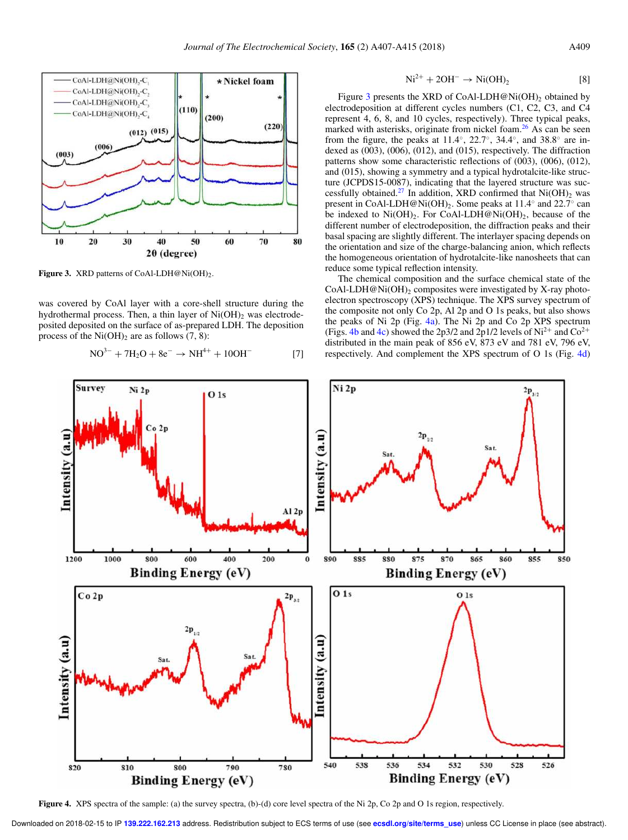

Figure 3. XRD patterns of CoAl-LDH@Ni(OH)<sub>2</sub>.

was covered by CoAl layer with a core-shell structure during the hydrothermal process. Then, a thin layer of  $Ni(OH)_{2}$  was electrodeposited deposited on the surface of as-prepared LDH. The deposition process of the  $Ni(OH)_{2}$  are as follows (7, 8):

$$
NO^{3-} + 7H_2O + 8e^- \rightarrow NH^{4+} + 10OH^-
$$
 [7]

$$
\text{Ni}^{2+} + 2\text{OH}^- \rightarrow \text{Ni}(\text{OH})_2 \tag{8}
$$

Figure 3 presents the XRD of CoAl-LDH@Ni(OH)<sub>2</sub> obtained by electrodeposition at different cycles numbers (C1, C2, C3, and C4 represent 4, 6, 8, and 10 cycles, respectively). Three typical peaks, marked with asterisks, originate from nickel foam.<sup>26</sup> As can be seen from the figure, the peaks at 11.4°, 22.7°, 34.4°, and 38.8° are indexed as (003), (006), (012), and (015), respectively. The diffraction patterns show some characteristic reflections of (003), (006), (012), and (015), showing a symmetry and a typical hydrotalcite-like structure (JCPDS15-0087), indicating that the layered structure was successfully obtained.<sup>27</sup> In addition, XRD confirmed that  $Ni(OH)_{2}$  was present in CoAl-LDH@Ni(OH)<sub>2</sub>. Some peaks at 11.4<sup>°</sup> and 22.7<sup>°</sup> can be indexed to  $Ni(OH)_2$ . For CoAl-LDH@Ni(OH)<sub>2</sub>, because of the different number of electrodeposition, the diffraction peaks and their basal spacing are slightly different. The interlayer spacing depends on the orientation and size of the charge-balancing anion, which reflects the homogeneous orientation of hydrotalcite-like nanosheets that can reduce some typical reflection intensity.

The chemical composition and the surface chemical state of the CoAl-LDH@Ni(OH)<sub>2</sub> composites were investigated by X-ray photoelectron spectroscopy (XPS) technique. The XPS survey spectrum of the composite not only Co 2p, Al 2p and O 1s peaks, but also shows the peaks of Ni 2p (Fig. 4a). The Ni 2p and Co 2p XPS spectrum (Figs. 4b and 4c) showed the 2p3/2 and 2p1/2 levels of  $Ni^{2+}$  and  $Co^{2+}$ distributed in the main peak of 856 eV, 873 eV and 781 eV, 796 eV, respectively. And complement the XPS spectrum of O 1s (Fig. 4d)



**Figure 4.** XPS spectra of the sample: (a) the survey spectra, (b)-(d) core level spectra of the Ni 2p, Co 2p and O 1s region, respectively.

Downloaded on 2018-02-15 to IP **139.222.162.213** address. Redistribution subject to ECS terms of use (see **ecsdl.org/site/terms\_use**) unless CC License in place (see abstract).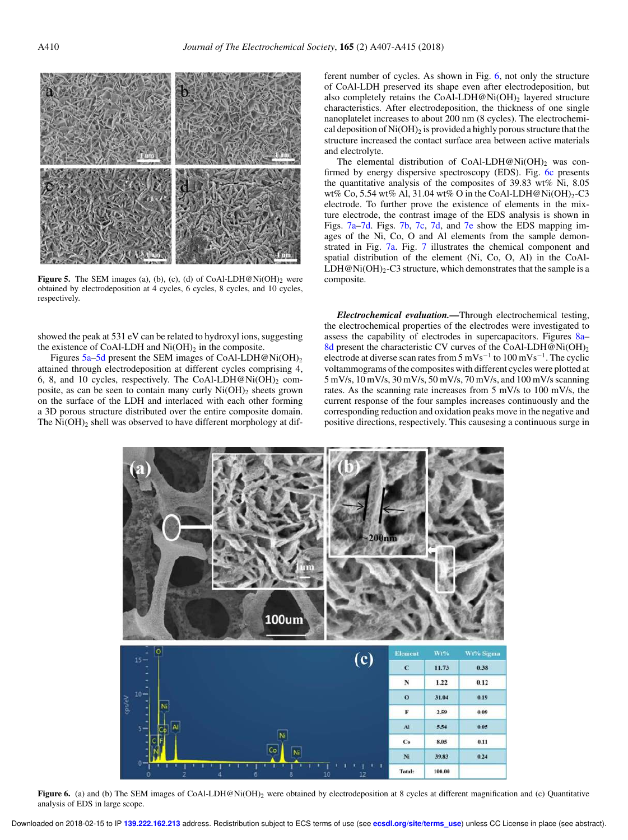

Figure 5. The SEM images (a), (b), (c), (d) of CoAl-LDH@Ni(OH)<sub>2</sub> were obtained by electrodeposition at 4 cycles, 6 cycles, 8 cycles, and 10 cycles, respectively.

showed the peak at 531 eV can be related to hydroxyl ions, suggesting the existence of CoAl-LDH and  $Ni(OH)_2$  in the composite.

Figures  $5a-5d$  present the SEM images of CoAl-LDH@Ni(OH)<sub>2</sub> attained through electrodeposition at different cycles comprising 4, 6, 8, and 10 cycles, respectively. The CoAl-LDH@Ni(OH)<sub>2</sub> composite, as can be seen to contain many curly  $Ni(OH)_2$  sheets grown on the surface of the LDH and interlaced with each other forming a 3D porous structure distributed over the entire composite domain. The  $Ni(OH)_2$  shell was observed to have different morphology at dif-

ferent number of cycles. As shown in Fig. 6, not only the structure of CoAl-LDH preserved its shape even after electrodeposition, but also completely retains the CoAl-LDH@Ni(OH)<sub>2</sub> layered structure characteristics. After electrodeposition, the thickness of one single nanoplatelet increases to about 200 nm (8 cycles). The electrochemical deposition of  $Ni(OH)_2$  is provided a highly porous structure that the structure increased the contact surface area between active materials and electrolyte.

The elemental distribution of CoAl-LDH@Ni(OH)<sub>2</sub> was confirmed by energy dispersive spectroscopy (EDS). Fig. 6c presents the quantitative analysis of the composites of 39.83 wt% Ni, 8.05 wt% Co, 5.54 wt% Al, 31.04 wt% O in the CoAl-LDH@Ni(OH)<sub>2</sub>-C3 electrode. To further prove the existence of elements in the mixture electrode, the contrast image of the EDS analysis is shown in Figs. 7a–7d. Figs. 7b, 7c, 7d, and 7e show the EDS mapping images of the Ni, Co, O and Al elements from the sample demonstrated in Fig. 7a. Fig. 7 illustrates the chemical component and spatial distribution of the element (Ni, Co, O, Al) in the CoAl-LDH@Ni(OH)<sub>2</sub>-C3 structure, which demonstrates that the sample is a composite.

*Electrochemical evaluation.—*Through electrochemical testing, the electrochemical properties of the electrodes were investigated to assess the capability of electrodes in supercapacitors. Figures 8a– 8d present the characteristic CV curves of the CoAl-LDH@Ni(OH)<sub>2</sub> electrode at diverse scan rates from  $5 \text{ mVs}^{-1}$  to  $100 \text{ mVs}^{-1}$ . The cyclic voltammograms of the composites with different cycles were plotted at 5 mV/s, 10 mV/s, 30 mV/s, 50 mV/s, 70 mV/s, and 100 mV/s scanning rates. As the scanning rate increases from 5 mV/s to 100 mV/s, the current response of the four samples increases continuously and the corresponding reduction and oxidation peaks move in the negative and positive directions, respectively. This causesing a continuous surge in



Figure 6. (a) and (b) The SEM images of CoAl-LDH@Ni(OH)<sub>2</sub> were obtained by electrodeposition at 8 cycles at different magnification and (c) Quantitative analysis of EDS in large scope.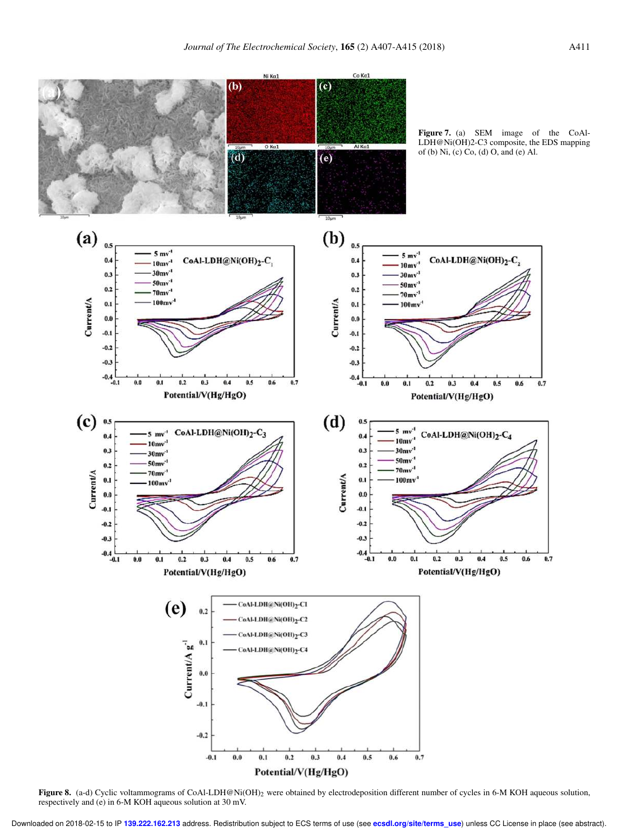

Figure 8. (a-d) Cyclic voltammograms of CoAl-LDH@Ni(OH)<sub>2</sub> were obtained by electrodeposition different number of cycles in 6-M KOH aqueous solution, respectively and (e) in 6-M KOH aqueous solution at 30 mV.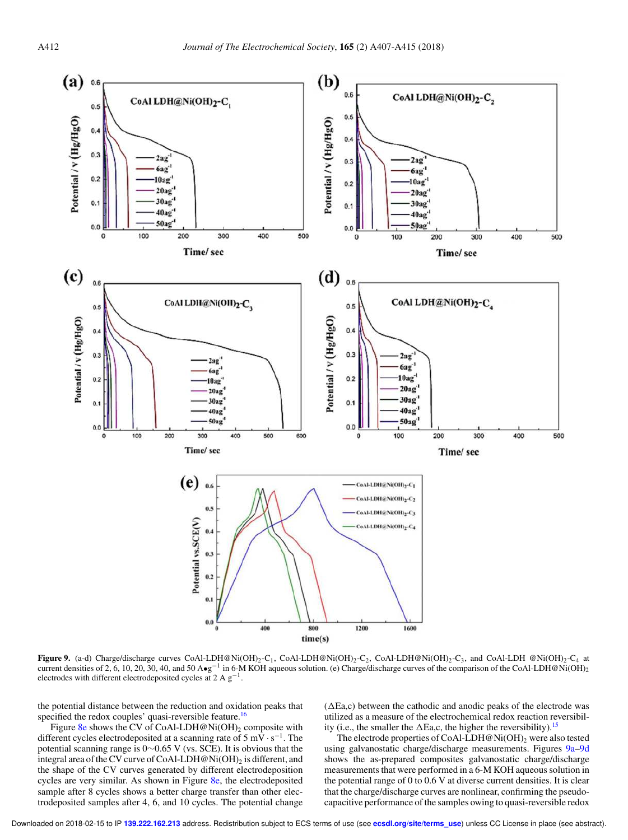

**Figure 9.** (a-d) Charge/discharge curves CoAl-LDH@Ni(OH)<sub>2</sub>-C<sub>1</sub>, CoAl-LDH@Ni(OH)<sub>2</sub>-C<sub>2</sub>, CoAl-LDH@Ni(OH)<sub>2</sub>-C<sub>3</sub>, and CoAl-LDH @Ni(OH)<sub>2</sub>-C<sub>4</sub> at current densities of 2, 6, 10, 20, 30, 40, and 50 A•g<sup>-1</sup> in 6-M KOH aqueous solution. (e) Charge/discharge curves of the comparison of the CoAl-LDH@Ni(OH)<sub>2</sub> electrodes with different electrodeposited cycles at 2 A  $g^{-1}$ .

the potential distance between the reduction and oxidation peaks that specified the redox couples' quasi-reversible feature.<sup>16</sup>

Figure 8e shows the CV of CoAl-LDH@Ni(OH)<sub>2</sub> composite with different cycles electrodeposited at a scanning rate of  $5 \text{ mV} \cdot \text{s}^{-1}$ . The potential scanning range is 0∼0.65 V (vs. SCE). It is obvious that the integral area of the CV curve of CoAl-LDH@Ni(OH)<sub>2</sub> is different, and the shape of the CV curves generated by different electrodeposition cycles are very similar. As shown in Figure 8e, the electrodeposited sample after 8 cycles shows a better charge transfer than other electrodeposited samples after 4, 6, and 10 cycles. The potential change

 $(\Delta E a, c)$  between the cathodic and anodic peaks of the electrode was utilized as a measure of the electrochemical redox reaction reversibility (i.e., the smaller the  $\Delta$ Ea,c, the higher the reversibility).<sup>15</sup>

The electrode properties of CoAl-LDH@Ni(OH)<sub>2</sub> were also tested using galvanostatic charge/discharge measurements. Figures 9a–9d shows the as-prepared composites galvanostatic charge/discharge measurements that were performed in a 6-M KOH aqueous solution in the potential range of 0 to 0.6 V at diverse current densities. It is clear that the charge/discharge curves are nonlinear, confirming the pseudocapacitive performance of the samples owing to quasi-reversible redox

Downloaded on 2018-02-15 to IP **139.222.162.213** address. Redistribution subject to ECS terms of use (see **ecsdl.org/site/terms\_use**) unless CC License in place (see abstract).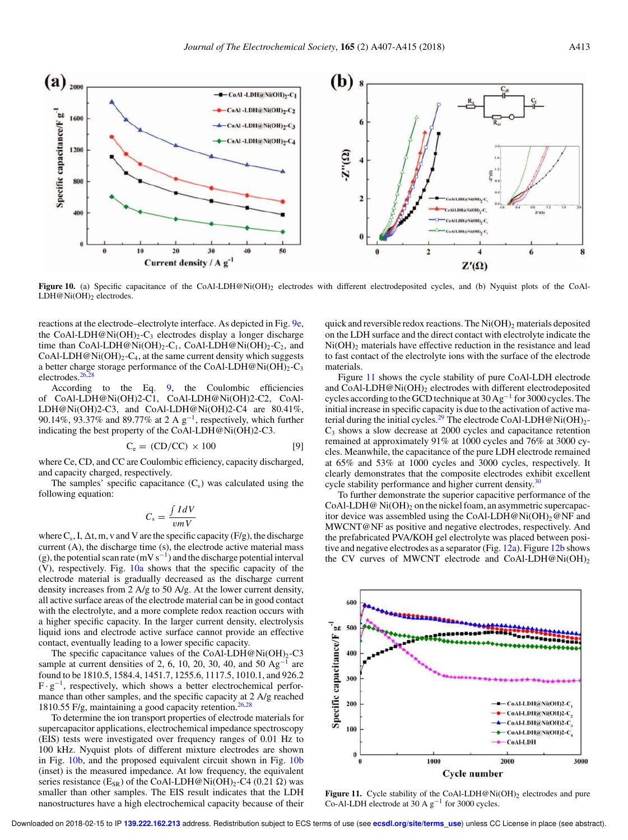

Figure 10. (a) Specific capacitance of the CoAl-LDH@Ni(OH)<sub>2</sub> electrodes with different electrodeposited cycles, and (b) Nyquist plots of the CoAl-LDH@Ni(OH)2 electrodes.

reactions at the electrode–electrolyte interface. As depicted in Fig. 9e, the CoAl-LDH@Ni(OH)<sub>2</sub>-C<sub>3</sub> electrodes display a longer discharge time than CoAl-LDH@Ni(OH)<sub>2</sub>-C<sub>1</sub>, CoAl-LDH@Ni(OH)<sub>2</sub>-C<sub>2</sub>, and CoAl-LDH@Ni(OH)<sub>2</sub>-C<sub>4</sub>, at the same current density which suggests a better charge storage performance of the CoAl-LDH@Ni(OH)<sub>2</sub>-C<sub>3</sub> electrodes.<sup>2</sup>

According to the Eq. 9, the Coulombic efficiencies of CoAl-LDH@Ni(OH)2-C1, CoAl-LDH@Ni(OH)2-C2, CoAl-LDH@Ni(OH)2-C3, and CoAl-LDH@Ni(OH)2-C4 are 80.41%, 90.14%, 93.37% and 89.77% at 2 A  $g^{-1}$ , respectively, which further indicating the best property of the CoAl-LDH@Ni(OH)2-C3.

$$
C_e = (CD/CC) \times 100
$$
 [9]

where Ce, CD, and CC are Coulombic efficiency, capacity discharged, and capacity charged, respectively.

The samples' specific capacitance  $(C_s)$  was calculated using the following equation:

$$
C_{\rm s} = \frac{\int IdV}{vmV}
$$

where  $C_s$ , I,  $\Delta t$ , m, v and V are the specific capacity (F/g), the discharge current (A), the discharge time (s), the electrode active material mass (g), the potential scan rate (mV s<sup>-1</sup>) and the discharge potential interval (V), respectively. Fig. 10a shows that the specific capacity of the electrode material is gradually decreased as the discharge current density increases from 2 A/g to 50 A/g. At the lower current density, all active surface areas of the electrode material can be in good contact with the electrolyte, and a more complete redox reaction occurs with a higher specific capacity. In the larger current density, electrolysis liquid ions and electrode active surface cannot provide an effective contact, eventually leading to a lower specific capacity.

The specific capacitance values of the CoAl-LDH@Ni(OH)<sub>2</sub>-C3 sample at current densities of 2, 6, 10, 20, 30, 40, and 50  $Ag^{-1}$  are found to be 1810.5, 1584.4, 1451.7, 1255.6, 1117.5, 1010.1, and 926.2  $F \cdot g^{-1}$ , respectively, which shows a better electrochemical performance than other samples, and the specific capacity at 2 A/g reached 1810.55 F/g, maintaining a good capacity retention.<sup>26,28</sup>

To determine the ion transport properties of electrode materials for supercapacitor applications, electrochemical impedance spectroscopy (EIS) tests were investigated over frequency ranges of 0.01 Hz to 100 kHz. Nyquist plots of different mixture electrodes are shown in Fig. 10b, and the proposed equivalent circuit shown in Fig. 10b (inset) is the measured impedance. At low frequency, the equivalent series resistance (E<sub>SR</sub>) of the CoAl-LDH@Ni(OH)<sub>2</sub>-C4 (0.21  $\Omega$ ) was smaller than other samples. The EIS result indicates that the LDH nanostructures have a high electrochemical capacity because of their

quick and reversible redox reactions. The  $Ni(OH)_2$  materials deposited on the LDH surface and the direct contact with electrolyte indicate the  $Ni(OH)<sub>2</sub>$  materials have effective reduction in the resistance and lead to fast contact of the electrolyte ions with the surface of the electrode materials.

Figure 11 shows the cycle stability of pure CoAl-LDH electrode and CoAl-LDH@Ni $(OH)_2$  electrodes with different electrodeposited cycles according to the GCD technique at 30 Ag<sup>-1</sup> for 3000 cycles. The initial increase in specific capacity is due to the activation of active material during the initial cycles.<sup>29</sup> The electrode CoAl-LDH@Ni(OH)<sub>2</sub>- $C_3$  shows a slow decrease at 2000 cycles and capacitance retention remained at approximately 91% at 1000 cycles and 76% at 3000 cycles. Meanwhile, the capacitance of the pure LDH electrode remained at 65% and 53% at 1000 cycles and 3000 cycles, respectively. It clearly demonstrates that the composite electrodes exhibit excellent cycle stability performance and higher current density.<sup>30</sup>

To further demonstrate the superior capacitive performance of the CoAl-LDH@  $Ni(OH)_{2}$  on the nickel foam, an asymmetric supercapacitor device was assembled using the CoAl-LDH@Ni(OH)<sub>2</sub>@NF and MWCNT@NF as positive and negative electrodes, respectively. And the prefabricated PVA/KOH gel electrolyte was placed between positive and negative electrodes as a separator (Fig. 12a). Figure 12b shows the CV curves of MWCNT electrode and CoAl-LDH@Ni(OH)<sub>2</sub>



Figure 11. Cycle stability of the CoAl-LDH@Ni(OH)<sub>2</sub> electrodes and pure Co-Al-LDH electrode at  $30 \text{ A g}^{-1}$  for 3000 cycles.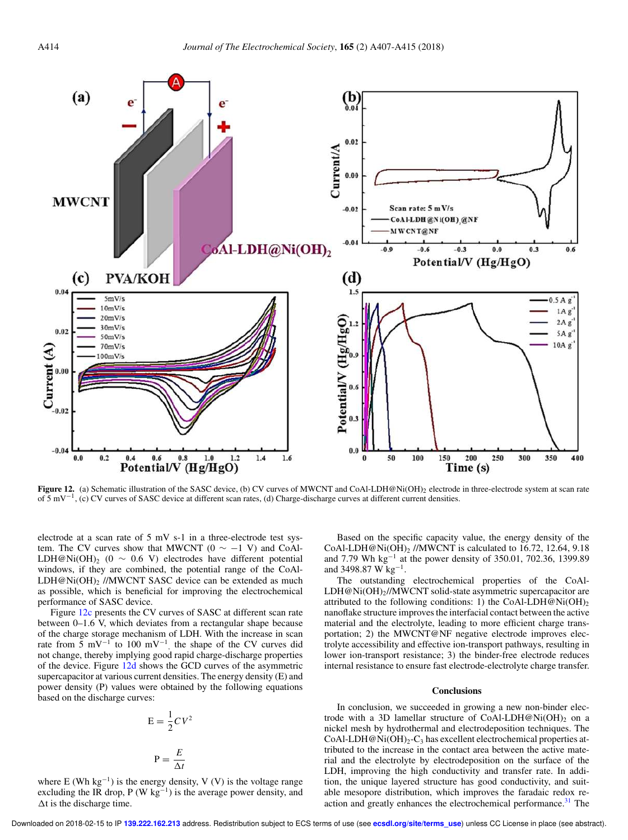

Figure 12. (a) Schematic illustration of the SASC device, (b) CV curves of MWCNT and CoAl-LDH@Ni(OH)<sub>2</sub> electrode in three-electrode system at scan rate of 5 mV−<sup>1</sup> , (c) CV curves of SASC device at different scan rates, (d) Charge-discharge curves at different current densities.

electrode at a scan rate of 5 mV s-1 in a three-electrode test system. The CV curves show that MWCNT ( $0 \sim -1$  V) and CoAl-LDH@Ni(OH)<sub>2</sub> (0 ~ 0.6 V) electrodes have different potential windows, if they are combined, the potential range of the CoAl-LDH@Ni(OH)<sub>2</sub> //MWCNT SASC device can be extended as much as possible, which is beneficial for improving the electrochemical performance of SASC device.

Figure 12c presents the CV curves of SASC at different scan rate between 0–1.6 V, which deviates from a rectangular shape because of the charge storage mechanism of LDH. With the increase in scan rate from 5 mV<sup>-1</sup> to 100 mV<sup>-1</sup>, the shape of the CV curves did not change, thereby implying good rapid charge-discharge properties of the device. Figure 12d shows the GCD curves of the asymmetric supercapacitor at various current densities. The energy density (E) and power density (P) values were obtained by the following equations based on the discharge curves:

$$
E = \frac{1}{2}CV^2
$$

$$
P = \frac{E}{\Delta t}
$$

where  $E$  (Wh  $kg^{-1}$ ) is the energy density, V (V) is the voltage range excluding the IR drop, P (W kg<sup>-1</sup>) is the average power density, and  $\Delta t$  is the discharge time.

Based on the specific capacity value, the energy density of the CoAl-LDH@Ni(OH) $_2$  //MWCNT is calculated to 16.72, 12.64, 9.18 and 7.79 Wh kg<sup>−</sup><sup>1</sup> at the power density of 350.01, 702.36, 1399.89 and 3498.87 W kg<sup>-1</sup>.

The outstanding electrochemical properties of the CoAl-LDH@Ni(OH)2//MWCNT solid-state asymmetric supercapacitor are attributed to the following conditions: 1) the CoAl-LDH@Ni(OH)<sub>2</sub> nanoflake structure improves the interfacial contact between the active material and the electrolyte, leading to more efficient charge transportation; 2) the MWCNT@NF negative electrode improves electrolyte accessibility and effective ion-transport pathways, resulting in lower ion-transport resistance; 3) the binder-free electrode reduces internal resistance to ensure fast electrode-electrolyte charge transfer.

#### **Conclusions**

In conclusion, we succeeded in growing a new non-binder electrode with a 3D lamellar structure of CoAl-LDH@Ni(OH)<sub>2</sub> on a nickel mesh by hydrothermal and electrodeposition techniques. The CoAl-LDH@Ni(OH)<sub>2</sub>-C<sub>3</sub> has excellent electrochemical properties attributed to the increase in the contact area between the active material and the electrolyte by electrodeposition on the surface of the LDH, improving the high conductivity and transfer rate. In addition, the unique layered structure has good conductivity, and suitable mesopore distribution, which improves the faradaic redox reaction and greatly enhances the electrochemical performance.<sup>31</sup> The

Downloaded on 2018-02-15 to IP **139.222.162.213** address. Redistribution subject to ECS terms of use (see **ecsdl.org/site/terms\_use**) unless CC License in place (see abstract).